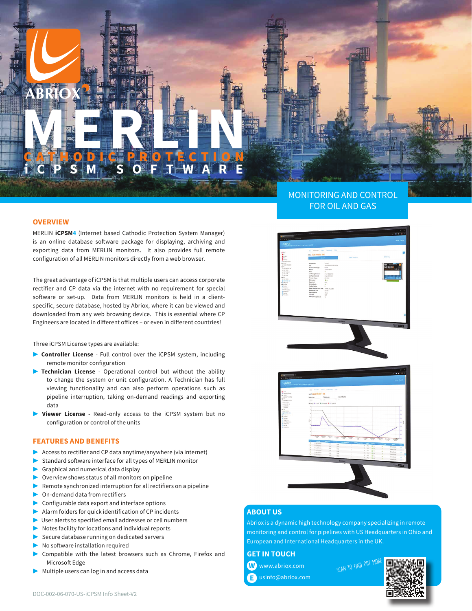# **MERLINE PROTECTION** GATHODIC PROTECTION **iCPSM SOFTWARE**

## **OVERVIEW**

MERLIN **iCPSM4** (Internet based Cathodic Protection System Manager) is an online database software package for displaying, archiving and exporting data from MERLIN monitors. It also provides full remote configuration of all MERLIN monitors directly from a web browser.

The great advantage of iCPSM is that multiple users can access corporate rectifier and CP data via the internet with no requirement for special software or set-up. Data from MERLIN monitors is held in a clientspecific, secure database, hosted by Abriox, where it can be viewed and downloaded from any web browsing device. This is essential where CP Engineers are located in different offices – or even in different countries!

Three iCPSM License types are available:

- ▶ **Controller License** Full control over the iCPSM system, including remote monitor configuration
- ▶ **Technician License** Operational control but without the ability to change the system or unit configuration. A Technician has full viewing functionality and can also perform operations such as pipeline interruption, taking on-demand readings and exporting data
- **Viewer License** Read-only access to the iCPSM system but no configuration or control of the units

# **FEATURES AND BENEFITS**

- ▶ Access to rectifier and CP data anytime/anywhere (via internet)
- Standard software interface for all types of MERLIN monitor
- Graphical and numerical data display
- Overview shows status of all monitors on pipeline
- ▶  Remote synchronized interruption for all rectifiers on a pipeline
- On-demand data from rectifiers
- Configurable data export and interface options
- ▶ Alarm folders for quick identification of CP incidents
- User alerts to specified email addresses or cell numbers
- ▶ Notes facility for locations and individual reports
- Secure database running on dedicated servers
- No software installation required
- Compatible with the latest browsers such as Chrome, Firefox and Microsoft Edge
- Multiple users can log in and access data

# MONITORING AND CONTROL FOR OIL AND GAS



# **ABOUT US**

Abriox is a dynamic high technology company specializing in remote monitoring and control for pipelines with US Headquarters in Ohio and European and International Headquarters in the UK.

**GET IN TOUCH**

 www.abriox.com **W** usinfo@abriox.com **E** SCAN TO FIND OUT MO